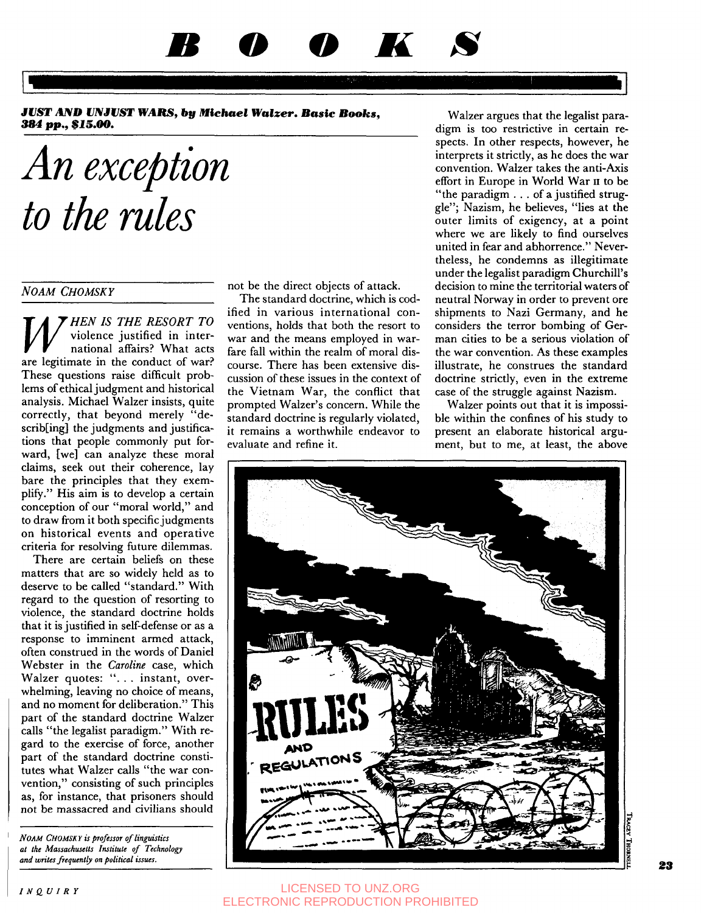# *m0olKs*

*JUST AND UNJUST* **WARS,** *bg Michael WaZxer. Basic Books,*  **384** *pp., \$15.00.* 

*An exception to the rules* 

## *NOAM CHOMSKY*

*W HEN IS THE RESORT TO*<br>violence justified in inter-<br>national affairs? What acts violence justified in international affairs? What acts are legitimate in the conduct of war? These questions raise difficult problems of ethical judgment and historical analysis. Michael Walzer insists, quite correctly, that beyond merely "describ[ing] the judgments and justifications that people commonly put forward, [we] can analyze these moral claims, seek out their coherence, lay bare the principles that they exemplify." His aim is to develop a certain conception of our "moral world," and to draw from it both specific judgments on historical events and operative criteria for resolving future dilemmas.

There are certain beliefs on these matters that are so widely held as to deserve to be called "standard." With regard to the question of resorting to violence, the standard doctrine holds that it is justified in self-defense or as a response to imminent armed attack, often construed in the words of Daniel Webster in the *Caroline* case, which Walzer quotes: "... instant, overwhelming, leaving no choice of means, and no moment for deliberation." This part of the standard doctrine Walzer calls "the legalist paradigm." With regard to the exercise of force, another part of the standard doctrine constitutes what Walzer calls "the war convention," consisting of such principles as, for instance, that prisoners should not be massacred and civilians should

*NOAM CHOMSKY* is *professor of linguistics at the Massachusetts Imfitute of Technology and writes frequmtb on political issues.* 

not be the direct objects of attack.

The standard doctrine, which is codified in various international conventions, holds that both the resort to war and the means employed in warfare fall within the realm of moral discourse. There has been extensive discussion of these issues in the context of the Vietnam War, the conflict that prompted Walzer's concern. While the standard doctrine is regularly violated, it remains a worthwhile endeavor to evaluate and refine it.

Walzer argues that the legalist paradigm is too restrictive in certain respects. In other respects, however, he interprets it strictly, as he does the war convention. Walzer takes the anti-Axis effort in Europe in World War **11** to be "the paradigm . . . of a justified struggle"; Nazism, he believes, "lies at the outer limits of exigency, at a point where we are likely to find ourselves united in fear and abhorrence." Nevertheless, he condemns as illegitimate under the legalist paradigm Churchill's decision to mine the territorial waters of neutral Norway in order to prevent ore shipments to Nazi Germany, and he considers the terror bombing of German cities to be a serious violation of the war convention. **As** these examples illustrate, he construes the standard doctrine strictly, even in the extreme case of the struggle against Nazism.

Walzer points out that it is impossible within the confines of his study to present an elaborate historical argument, but to me, at least, the above



### *INQUIRY* LICENSED TO UNZ.ORG ELECTRONIC REPRODUCTION PROHIBITED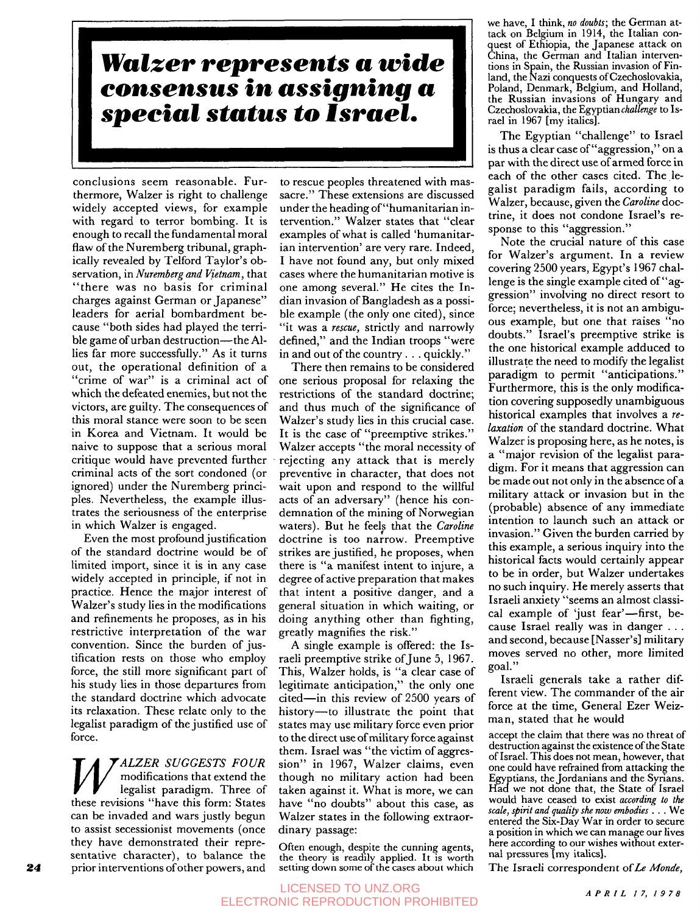# **Walzer represents a wide<br><b>consensus in assigning a Walzer represents a where**  $\frac{1}{2}$  we have I think, no duote the German at the Correlation of the **Consensus in a signing a consensus in a signing a consensus in a signing a conservation**  $\frac{1}{2}$  and  $\frac{1}{2}$  b

conclusions seem reasonable. Furthermore, Walzer is right to challenge widely accepted views, for example with regard to terror bombing. It is enough to recall the fundamental moral flaw of the Nuremberg tribunal, graphically revealed by Telford Taylor's observation, in *Nuremberg and Vietnam,* that "there was no basis for criminal charges against German or Japanese" leaders for aerial bombardment because "both sides had played the terrible game of urban destruction-the Allies far more successfully." **As** it turns out, the operational definition of a "crime of war" is a criminal act of which the defeated enemies, but not the victors, are guilty. The consequences of this moral stance were soon to be seen in Korea and Vietnam. It would be naive to suppose that a serious moral critique would have prevented further criminal acts of the sort condoned (or ignored) under the Nuremberg principles. Nevertheless, the example illustrates the seriousness of the enterprise in which Walzer is engaged.

Even the most profound justification of the standard doctrine would be of limited import, since it is in any case widely accepted in principle, if not in practice. Hence the major interest of Walzer's study lies in the modifications and refinements he proposes, as in his restrictive interpretation of the war convention. Since the burden of justification rests on those who employ force, the still more significant part of his study lies in those departures from the standard doctrine which advocate its relaxation. These relate only to the legalist paradigm of the justified use of force.

*ALZER SUGGESTS FOUR* modifications that extend the legalist paradigm. Three of these revisions "have this form: States" legalist paradigm. Three of can be invaded and wars justly begun to assist secessionist movements (once they have demonstrated their representative character), to balance the *24* prior interventions ofother powers, and

to rescue peoples threatened with massacre." These extensions are discussed under the heading of "humanitarian intervention." Walzer states that "clear examples of what is called 'humanitarian intervention' are very rare. Indeed, I have not found any, but only mixed cases where the humanitarian motive is one among several." He cites the Indian invasion of Bangladesh as a possible example (the only one cited), since "it was a *rescue,* strictly and narrowly defined," and the Indian troops "were in and out of the country... quickly."

There then remains to be considered one serious proposal for relaxing the restrictions of the standard doctrine; and thus much of the significance of Walzer's study lies in this crucial case. It is the case of "preemptive strikes." Walzer accepts "the moral necessity of rejecting any attack that is merely preventive in character, that does not wait upon and respond to the willful acts of an adversary" (hence his condemnation of the mining of Norwegian waters). But he feels that the *Caroline* doctrine is too narrow. Preemptive strikes are justified, he proposes, when there is "a manifest intent to injure, a degree of active preparation that makes that intent a positive danger, and a general situation in which waiting, or doing anything other than fighting, greatly magnifies the risk."

**A** single example is offered: the Israeli preemptive strike of June 5, 1967. This, Walzer holds, is "a clear case of legitimate anticipation," the only one cited-in this review of 2500 years of history-to illustrate the point that states may use military force even prior to the direct use of military force against them. Israel was "the victim of aggression" in 1967, Walzer claims, even though no military action had been taken against it. What is more, we can have "no doubts" about this case, as Walzer states in the following extraordinary passage:

Often enough, despite the cunning agents, the theory **is** readily applied. It **is** worth setting down some of the cases about which

we have, I think, *no doubts;* the German attack on Belgium in 1914, the Italian conquest of Ethiopia, the Japanese attack on China, the German and Italian interventions in Spain, the Russian invasion of Finland, the Kazi conquests of Czechoslovakia, Poland, Denmark, Belgium, and Holland, the Russian invasions of Hungary and Czechoslovakia, the Egyptian *challenge* to **Is**rael in 1967 [my italics].

The Egyptian "challenge" to Israel is thus a clear case of "aggression," on a par with the direct use of armed force in each of the other cases cited. The legalist paradigm fails, according to Walzer, because, given the *Caroline* doctrine, it does not condone Israel's response to this "aggression."

Note the crucial nature of this case for Walzer's argument. In a review covering 2500 years, Egypt's 1967 challenge is the single example cited of "aggression" involving no direct resort to force; nevertheless, it is not an ambiguous example, but one that raises "no doubts." Israel's preemptive strike is the one historical example adduced to illustrate the need to modify the legalist paradigm to permit "anticipations." Furthermore, this is the only modification covering supposedly unambiguous historical examples that involves a *relaxation* of the standard doctrine. What Walzer is proposing here, as he notes, is a "major revision of the legalist paradigm. For it means that aggression can be made out not only in the absence of a military attack or invasion but in the (probable) absence of any immediate intention to launch such an attack or invasion." Given the burden carried by this example, a serious inquiry into the historical facts would certainly appear to be in order, but Walzer undertakes no such inquiry. He merely asserts that Israeli anxiety "seems an almost classical example of 'just fear'-first, because Israel really was in danger . . . and second, because [Nasser's] military moves served no other, more limited goal."

Israeli generals take a rather different view. The commander of the air force at the time, General Ezer Weizman, stated that he would

accept the claim that there was no threat of destruction against the existence of the State of Israel. This does not mean, however, that one could have refrained from attacking the Egyptians, the Jordanians and the Syrians. Had we not done that, the State of Israel would have ceased to exist *according to the scale, spirit and qualip she now embodies* . . . We entered the Six-Day War in order to secure a position in which we can manage our lives here according to our wishes without external pressures [my italics].

The Israeli correspondent of *Le Monde,* 

### LICENSED TO UNZ.ORG *APRIL 17, <sup>1978</sup>* ELECTRONIC REPRODUCTION PROHIBITED